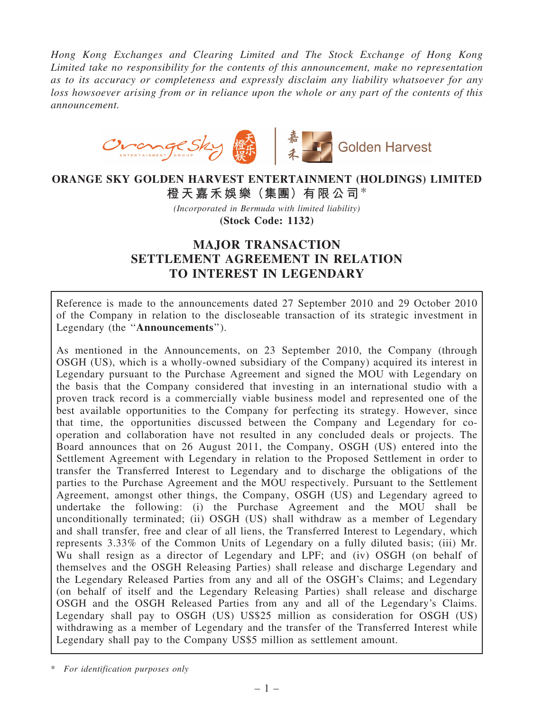*Hong Kong Exchanges and Clearing Limited and The Stock Exchange of Hong Kong Limited take no responsibility for the contents of this announcement, make no representation as to its accuracy or completeness and expressly disclaim any liability whatsoever for any loss howsoever arising from or in reliance upon the whole or any part of the contents of this announcement.*



# ORANGE SKY GOLDEN HARVEST ENTERTAINMENT (HOLDINGS) LIMITED 橙天嘉禾娛樂(集團)有限公司\*

*(Incorporated in Bermuda with limited liability)* (Stock Code: 1132)

# MAJOR TRANSACTION SETTLEMENT AGREEMENT IN RELATION TO INTEREST IN LEGENDARY

Reference is made to the announcements dated 27 September 2010 and 29 October 2010 of the Company in relation to the discloseable transaction of its strategic investment in Legendary (the "Announcements").

As mentioned in the Announcements, on 23 September 2010, the Company (through OSGH (US), which is a wholly-owned subsidiary of the Company) acquired its interest in Legendary pursuant to the Purchase Agreement and signed the MOU with Legendary on the basis that the Company considered that investing in an international studio with a proven track record is a commercially viable business model and represented one of the best available opportunities to the Company for perfecting its strategy. However, since that time, the opportunities discussed between the Company and Legendary for cooperation and collaboration have not resulted in any concluded deals or projects. The Board announces that on 26 August 2011, the Company, OSGH (US) entered into the Settlement Agreement with Legendary in relation to the Proposed Settlement in order to transfer the Transferred Interest to Legendary and to discharge the obligations of the parties to the Purchase Agreement and the MOU respectively. Pursuant to the Settlement Agreement, amongst other things, the Company, OSGH (US) and Legendary agreed to undertake the following: (i) the Purchase Agreement and the MOU shall be unconditionally terminated; (ii) OSGH (US) shall withdraw as a member of Legendary and shall transfer, free and clear of all liens, the Transferred Interest to Legendary, which represents 3.33% of the Common Units of Legendary on a fully diluted basis; (iii) Mr. Wu shall resign as a director of Legendary and LPF; and (iv) OSGH (on behalf of themselves and the OSGH Releasing Parties) shall release and discharge Legendary and the Legendary Released Parties from any and all of the OSGH's Claims; and Legendary (on behalf of itself and the Legendary Releasing Parties) shall release and discharge OSGH and the OSGH Released Parties from any and all of the Legendary's Claims. Legendary shall pay to OSGH (US) US\$25 million as consideration for OSGH (US) withdrawing as a member of Legendary and the transfer of the Transferred Interest while Legendary shall pay to the Company US\$5 million as settlement amount.

\* *For identification purposes only*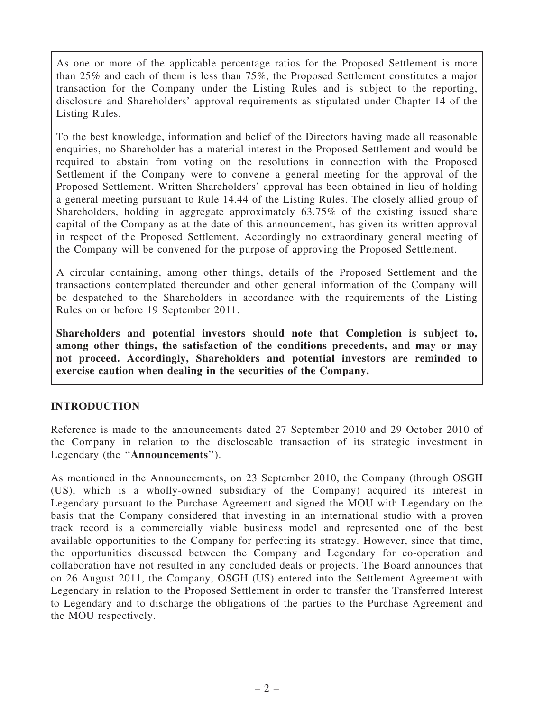As one or more of the applicable percentage ratios for the Proposed Settlement is more than 25% and each of them is less than 75%, the Proposed Settlement constitutes a major transaction for the Company under the Listing Rules and is subject to the reporting, disclosure and Shareholders' approval requirements as stipulated under Chapter 14 of the Listing Rules.

To the best knowledge, information and belief of the Directors having made all reasonable enquiries, no Shareholder has a material interest in the Proposed Settlement and would be required to abstain from voting on the resolutions in connection with the Proposed Settlement if the Company were to convene a general meeting for the approval of the Proposed Settlement. Written Shareholders' approval has been obtained in lieu of holding a general meeting pursuant to Rule 14.44 of the Listing Rules. The closely allied group of Shareholders, holding in aggregate approximately 63.75% of the existing issued share capital of the Company as at the date of this announcement, has given its written approval in respect of the Proposed Settlement. Accordingly no extraordinary general meeting of the Company will be convened for the purpose of approving the Proposed Settlement.

A circular containing, among other things, details of the Proposed Settlement and the transactions contemplated thereunder and other general information of the Company will be despatched to the Shareholders in accordance with the requirements of the Listing Rules on or before 19 September 2011.

Shareholders and potential investors should note that Completion is subject to, among other things, the satisfaction of the conditions precedents, and may or may not proceed. Accordingly, Shareholders and potential investors are reminded to exercise caution when dealing in the securities of the Company.

### INTRODUCTION

Reference is made to the announcements dated 27 September 2010 and 29 October 2010 of the Company in relation to the discloseable transaction of its strategic investment in Legendary (the "Announcements").

As mentioned in the Announcements, on 23 September 2010, the Company (through OSGH (US), which is a wholly-owned subsidiary of the Company) acquired its interest in Legendary pursuant to the Purchase Agreement and signed the MOU with Legendary on the basis that the Company considered that investing in an international studio with a proven track record is a commercially viable business model and represented one of the best available opportunities to the Company for perfecting its strategy. However, since that time, the opportunities discussed between the Company and Legendary for co-operation and collaboration have not resulted in any concluded deals or projects. The Board announces that on 26 August 2011, the Company, OSGH (US) entered into the Settlement Agreement with Legendary in relation to the Proposed Settlement in order to transfer the Transferred Interest to Legendary and to discharge the obligations of the parties to the Purchase Agreement and the MOU respectively.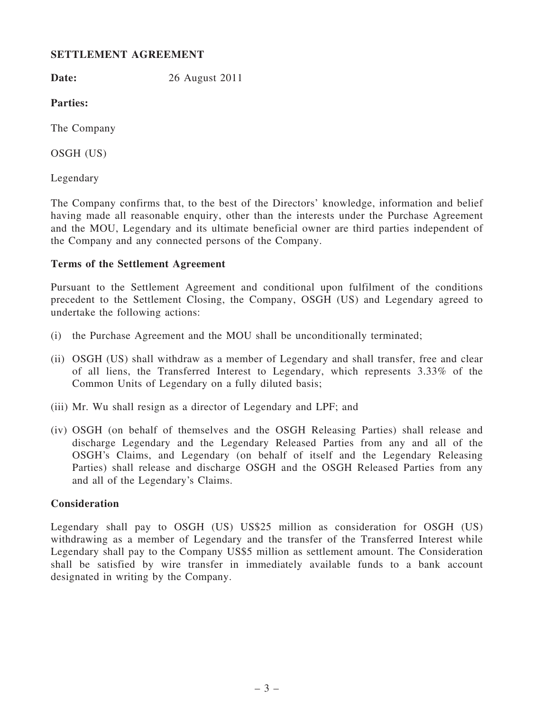## SETTLEMENT AGREEMENT

**Date:** 26 August 2011

Parties:

The Company

OSGH (US)

Legendary

The Company confirms that, to the best of the Directors' knowledge, information and belief having made all reasonable enquiry, other than the interests under the Purchase Agreement and the MOU, Legendary and its ultimate beneficial owner are third parties independent of the Company and any connected persons of the Company.

# Terms of the Settlement Agreement

Pursuant to the Settlement Agreement and conditional upon fulfilment of the conditions precedent to the Settlement Closing, the Company, OSGH (US) and Legendary agreed to undertake the following actions:

- (i) the Purchase Agreement and the MOU shall be unconditionally terminated;
- (ii) OSGH (US) shall withdraw as a member of Legendary and shall transfer, free and clear of all liens, the Transferred Interest to Legendary, which represents 3.33% of the Common Units of Legendary on a fully diluted basis;
- (iii) Mr. Wu shall resign as a director of Legendary and LPF; and
- (iv) OSGH (on behalf of themselves and the OSGH Releasing Parties) shall release and discharge Legendary and the Legendary Released Parties from any and all of the OSGH's Claims, and Legendary (on behalf of itself and the Legendary Releasing Parties) shall release and discharge OSGH and the OSGH Released Parties from any and all of the Legendary's Claims.

### **Consideration**

Legendary shall pay to OSGH (US) US\$25 million as consideration for OSGH (US) withdrawing as a member of Legendary and the transfer of the Transferred Interest while Legendary shall pay to the Company US\$5 million as settlement amount. The Consideration shall be satisfied by wire transfer in immediately available funds to a bank account designated in writing by the Company.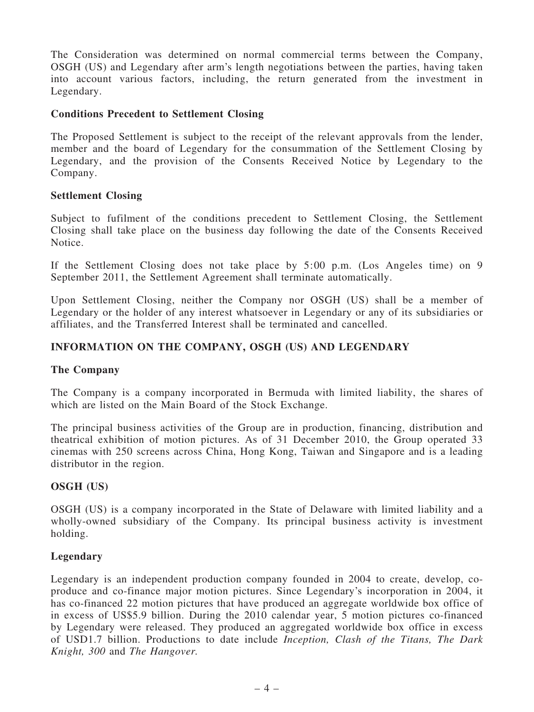The Consideration was determined on normal commercial terms between the Company, OSGH (US) and Legendary after arm's length negotiations between the parties, having taken into account various factors, including, the return generated from the investment in Legendary.

### Conditions Precedent to Settlement Closing

The Proposed Settlement is subject to the receipt of the relevant approvals from the lender, member and the board of Legendary for the consummation of the Settlement Closing by Legendary, and the provision of the Consents Received Notice by Legendary to the Company.

#### Settlement Closing

Subject to fufilment of the conditions precedent to Settlement Closing, the Settlement Closing shall take place on the business day following the date of the Consents Received Notice.

If the Settlement Closing does not take place by 5:00 p.m. (Los Angeles time) on 9 September 2011, the Settlement Agreement shall terminate automatically.

Upon Settlement Closing, neither the Company nor OSGH (US) shall be a member of Legendary or the holder of any interest whatsoever in Legendary or any of its subsidiaries or affiliates, and the Transferred Interest shall be terminated and cancelled.

### INFORMATION ON THE COMPANY, OSGH (US) AND LEGENDARY

#### The Company

The Company is a company incorporated in Bermuda with limited liability, the shares of which are listed on the Main Board of the Stock Exchange.

The principal business activities of the Group are in production, financing, distribution and theatrical exhibition of motion pictures. As of 31 December 2010, the Group operated 33 cinemas with 250 screens across China, Hong Kong, Taiwan and Singapore and is a leading distributor in the region.

#### OSGH (US)

OSGH (US) is a company incorporated in the State of Delaware with limited liability and a wholly-owned subsidiary of the Company. Its principal business activity is investment holding.

#### Legendary

Legendary is an independent production company founded in 2004 to create, develop, coproduce and co-finance major motion pictures. Since Legendary's incorporation in 2004, it has co-financed 22 motion pictures that have produced an aggregate worldwide box office of in excess of US\$5.9 billion. During the 2010 calendar year, 5 motion pictures co-financed by Legendary were released. They produced an aggregated worldwide box office in excess of USD1.7 billion. Productions to date include *Inception, Clash of the Titans, The Dark Knight, 300* and *The Hangover.*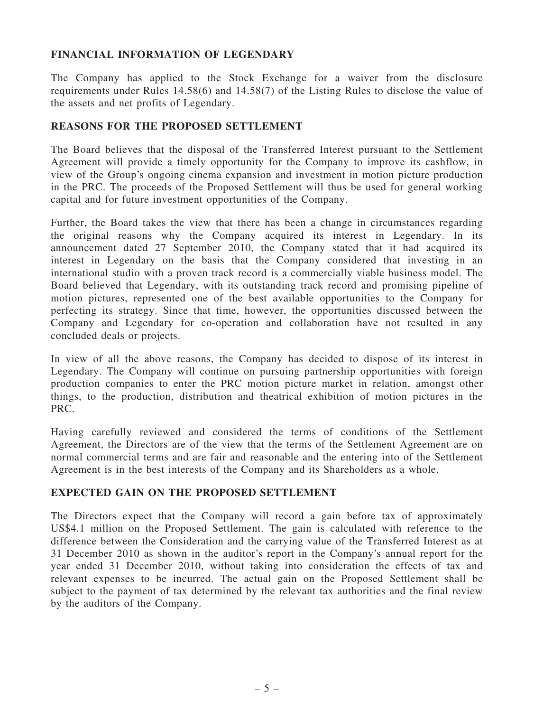## FINANCIAL INFORMATION OF LEGENDARY

The Company has applied to the Stock Exchange for a waiver from the disclosure requirements under Rules 14.58(6) and 14.58(7) of the Listing Rules to disclose the value of the assets and net profits of Legendary.

## REASONS FOR THE PROPOSED SETTLEMENT

The Board believes that the disposal of the Transferred Interest pursuant to the Settlement Agreement will provide a timely opportunity for the Company to improve its cashflow, in view of the Group's ongoing cinema expansion and investment in motion picture production in the PRC. The proceeds of the Proposed Settlement will thus be used for general working capital and for future investment opportunities of the Company.

Further, the Board takes the view that there has been a change in circumstances regarding the original reasons why the Company acquired its interest in Legendary. In its announcement dated 27 September 2010, the Company stated that it had acquired its interest in Legendary on the basis that the Company considered that investing in an international studio with a proven track record is a commercially viable business model. The Board believed that Legendary, with its outstanding track record and promising pipeline of motion pictures, represented one of the best available opportunities to the Company for perfecting its strategy. Since that time, however, the opportunities discussed between the Company and Legendary for co-operation and collaboration have not resulted in any concluded deals or projects.

In view of all the above reasons, the Company has decided to dispose of its interest in Legendary. The Company will continue on pursuing partnership opportunities with foreign production companies to enter the PRC motion picture market in relation, amongst other things, to the production, distribution and theatrical exhibition of motion pictures in the PRC.

Having carefully reviewed and considered the terms of conditions of the Settlement Agreement, the Directors are of the view that the terms of the Settlement Agreement are on normal commercial terms and are fair and reasonable and the entering into of the Settlement Agreement is in the best interests of the Company and its Shareholders as a whole.

### EXPECTED GAIN ON THE PROPOSED SETTLEMENT

The Directors expect that the Company will record a gain before tax of approximately US\$4.1 million on the Proposed Settlement. The gain is calculated with reference to the difference between the Consideration and the carrying value of the Transferred Interest as at 31 December 2010 as shown in the auditor's report in the Company's annual report for the year ended 31 December 2010, without taking into consideration the effects of tax and relevant expenses to be incurred. The actual gain on the Proposed Settlement shall be subject to the payment of tax determined by the relevant tax authorities and the final review by the auditors of the Company.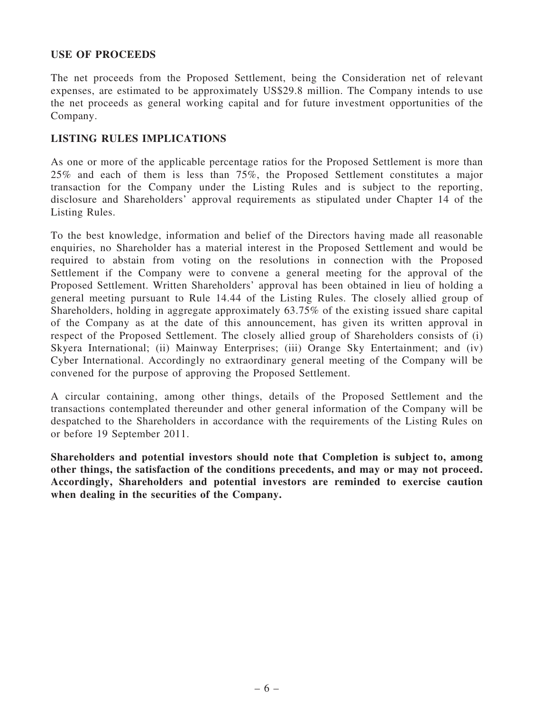### USE OF PROCEEDS

The net proceeds from the Proposed Settlement, being the Consideration net of relevant expenses, are estimated to be approximately US\$29.8 million. The Company intends to use the net proceeds as general working capital and for future investment opportunities of the Company.

### LISTING RULES IMPLICATIONS

As one or more of the applicable percentage ratios for the Proposed Settlement is more than 25% and each of them is less than 75%, the Proposed Settlement constitutes a major transaction for the Company under the Listing Rules and is subject to the reporting, disclosure and Shareholders' approval requirements as stipulated under Chapter 14 of the Listing Rules.

To the best knowledge, information and belief of the Directors having made all reasonable enquiries, no Shareholder has a material interest in the Proposed Settlement and would be required to abstain from voting on the resolutions in connection with the Proposed Settlement if the Company were to convene a general meeting for the approval of the Proposed Settlement. Written Shareholders' approval has been obtained in lieu of holding a general meeting pursuant to Rule 14.44 of the Listing Rules. The closely allied group of Shareholders, holding in aggregate approximately 63.75% of the existing issued share capital of the Company as at the date of this announcement, has given its written approval in respect of the Proposed Settlement. The closely allied group of Shareholders consists of (i) Skyera International; (ii) Mainway Enterprises; (iii) Orange Sky Entertainment; and (iv) Cyber International. Accordingly no extraordinary general meeting of the Company will be convened for the purpose of approving the Proposed Settlement.

A circular containing, among other things, details of the Proposed Settlement and the transactions contemplated thereunder and other general information of the Company will be despatched to the Shareholders in accordance with the requirements of the Listing Rules on or before 19 September 2011.

Shareholders and potential investors should note that Completion is subject to, among other things, the satisfaction of the conditions precedents, and may or may not proceed. Accordingly, Shareholders and potential investors are reminded to exercise caution when dealing in the securities of the Company.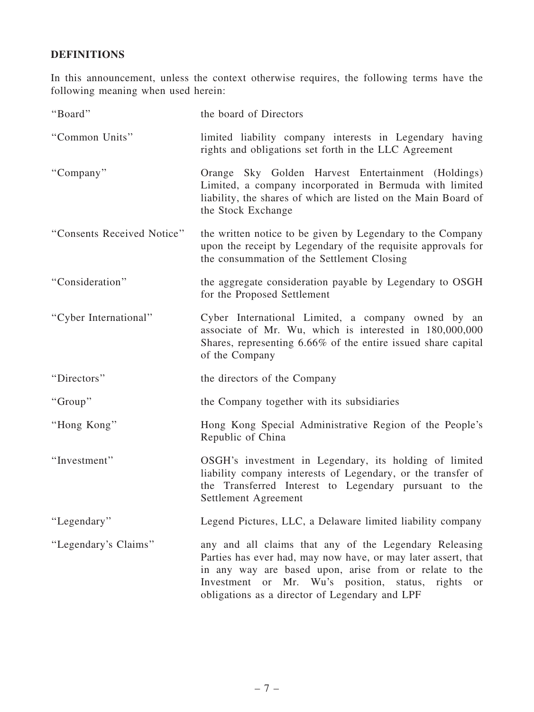# DEFINITIONS

In this announcement, unless the context otherwise requires, the following terms have the following meaning when used herein:

| "Board"                    | the board of Directors                                                                                                                                                                                                                                                                       |
|----------------------------|----------------------------------------------------------------------------------------------------------------------------------------------------------------------------------------------------------------------------------------------------------------------------------------------|
| "Common Units"             | limited liability company interests in Legendary having<br>rights and obligations set forth in the LLC Agreement                                                                                                                                                                             |
| "Company"                  | Orange Sky Golden Harvest Entertainment (Holdings)<br>Limited, a company incorporated in Bermuda with limited<br>liability, the shares of which are listed on the Main Board of<br>the Stock Exchange                                                                                        |
| "Consents Received Notice" | the written notice to be given by Legendary to the Company<br>upon the receipt by Legendary of the requisite approvals for<br>the consummation of the Settlement Closing                                                                                                                     |
| "Consideration"            | the aggregate consideration payable by Legendary to OSGH<br>for the Proposed Settlement                                                                                                                                                                                                      |
| "Cyber International"      | Cyber International Limited, a company owned by an<br>associate of Mr. Wu, which is interested in 180,000,000<br>Shares, representing 6.66% of the entire issued share capital<br>of the Company                                                                                             |
| "Directors"                | the directors of the Company                                                                                                                                                                                                                                                                 |
| "Group"                    | the Company together with its subsidiaries                                                                                                                                                                                                                                                   |
| "Hong Kong"                | Hong Kong Special Administrative Region of the People's<br>Republic of China                                                                                                                                                                                                                 |
| "Investment"               | OSGH's investment in Legendary, its holding of limited<br>liability company interests of Legendary, or the transfer of<br>the Transferred Interest to Legendary pursuant to the<br>Settlement Agreement                                                                                      |
| "Legendary"                | Legend Pictures, LLC, a Delaware limited liability company                                                                                                                                                                                                                                   |
| "Legendary's Claims"       | any and all claims that any of the Legendary Releasing<br>Parties has ever had, may now have, or may later assert, that<br>in any way are based upon, arise from or relate to the<br>Investment or Mr. Wu's position, status, rights<br>or<br>obligations as a director of Legendary and LPF |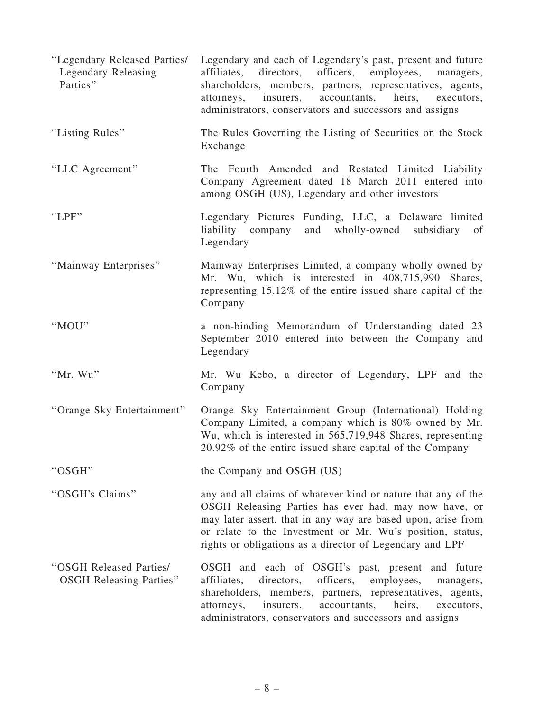| "Legendary Released Parties/<br>Legendary Releasing<br>Parties" | Legendary and each of Legendary's past, present and future<br>directors, officers, employees, managers,<br>affiliates,<br>shareholders, members, partners, representatives, agents,<br>accountants,<br>heirs,<br>attorneys,<br>insurers,<br>executors,<br>administrators, conservators and successors and assigns |
|-----------------------------------------------------------------|-------------------------------------------------------------------------------------------------------------------------------------------------------------------------------------------------------------------------------------------------------------------------------------------------------------------|
| "Listing Rules"                                                 | The Rules Governing the Listing of Securities on the Stock<br>Exchange                                                                                                                                                                                                                                            |
| "LLC Agreement"                                                 | The Fourth Amended and Restated Limited Liability<br>Company Agreement dated 18 March 2011 entered into<br>among OSGH (US), Legendary and other investors                                                                                                                                                         |
| "LPF"                                                           | Legendary Pictures Funding, LLC, a Delaware limited<br>liability company<br>and wholly-owned subsidiary of<br>Legendary                                                                                                                                                                                           |
| "Mainway Enterprises"                                           | Mainway Enterprises Limited, a company wholly owned by<br>Mr. Wu, which is interested in 408,715,990 Shares,<br>representing 15.12% of the entire issued share capital of the<br>Company                                                                                                                          |
| "MOU"                                                           | a non-binding Memorandum of Understanding dated 23<br>September 2010 entered into between the Company and<br>Legendary                                                                                                                                                                                            |
| "Mr. Wu"                                                        | Mr. Wu Kebo, a director of Legendary, LPF and the<br>Company                                                                                                                                                                                                                                                      |
| "Orange Sky Entertainment"                                      | Orange Sky Entertainment Group (International) Holding<br>Company Limited, a company which is 80% owned by Mr.<br>Wu, which is interested in 565,719,948 Shares, representing<br>20.92% of the entire issued share capital of the Company                                                                         |
| "OSGH"                                                          | the Company and OSGH (US)                                                                                                                                                                                                                                                                                         |
| "OSGH's Claims"                                                 | any and all claims of whatever kind or nature that any of the<br>OSGH Releasing Parties has ever had, may now have, or<br>may later assert, that in any way are based upon, arise from<br>or relate to the Investment or Mr. Wu's position, status,<br>rights or obligations as a director of Legendary and LPF   |
| "OSGH Released Parties/<br><b>OSGH Releasing Parties"</b>       | OSGH and each of OSGH's past, present and future<br>officers,<br>affiliates,<br>directors,<br>employees,<br>managers,<br>shareholders, members, partners, representatives, agents,<br>accountants,<br>heirs,<br>attorneys,<br>insurers,<br>executors,<br>administrators, conservators and successors and assigns  |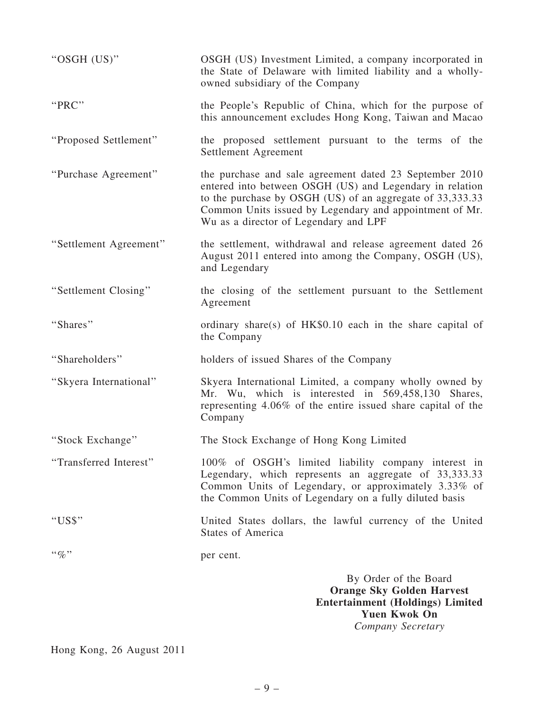| "OSGH (US)"               | OSGH (US) Investment Limited, a company incorporated in<br>the State of Delaware with limited liability and a wholly-<br>owned subsidiary of the Company                                                                                                                             |
|---------------------------|--------------------------------------------------------------------------------------------------------------------------------------------------------------------------------------------------------------------------------------------------------------------------------------|
| "PRC"                     | the People's Republic of China, which for the purpose of<br>this announcement excludes Hong Kong, Taiwan and Macao                                                                                                                                                                   |
| "Proposed Settlement"     | the proposed settlement pursuant to the terms of the<br>Settlement Agreement                                                                                                                                                                                                         |
| "Purchase Agreement"      | the purchase and sale agreement dated 23 September 2010<br>entered into between OSGH (US) and Legendary in relation<br>to the purchase by OSGH (US) of an aggregate of 33,333.33<br>Common Units issued by Legendary and appointment of Mr.<br>Wu as a director of Legendary and LPF |
| "Settlement Agreement"    | the settlement, withdrawal and release agreement dated 26<br>August 2011 entered into among the Company, OSGH (US),<br>and Legendary                                                                                                                                                 |
| "Settlement Closing"      | the closing of the settlement pursuant to the Settlement<br>Agreement                                                                                                                                                                                                                |
| "Shares"                  | ordinary share(s) of $HK$0.10$ each in the share capital of<br>the Company                                                                                                                                                                                                           |
| "Shareholders"            | holders of issued Shares of the Company                                                                                                                                                                                                                                              |
| "Skyera International"    | Skyera International Limited, a company wholly owned by<br>Mr. Wu, which is interested in 569,458,130 Shares,<br>representing 4.06% of the entire issued share capital of the<br>Company                                                                                             |
| "Stock Exchange"          | The Stock Exchange of Hong Kong Limited                                                                                                                                                                                                                                              |
| "Transferred Interest"    | 100% of OSGH's limited liability company interest in<br>Legendary, which represents an aggregate of 33,333.33<br>Common Units of Legendary, or approximately 3.33% of<br>the Common Units of Legendary on a fully diluted basis                                                      |
| "US\$"                    | United States dollars, the lawful currency of the United<br><b>States of America</b>                                                                                                                                                                                                 |
| $\cdot \cdot \mathcal{A}$ | per cent.                                                                                                                                                                                                                                                                            |
|                           | By Order of the Board<br><b>Orange Sky Golden Harvest</b><br><b>Entertainment (Holdings) Limited</b><br><b>Yuen Kwok On</b>                                                                                                                                                          |

*Company Secretary*

Hong Kong, 26 August 2011